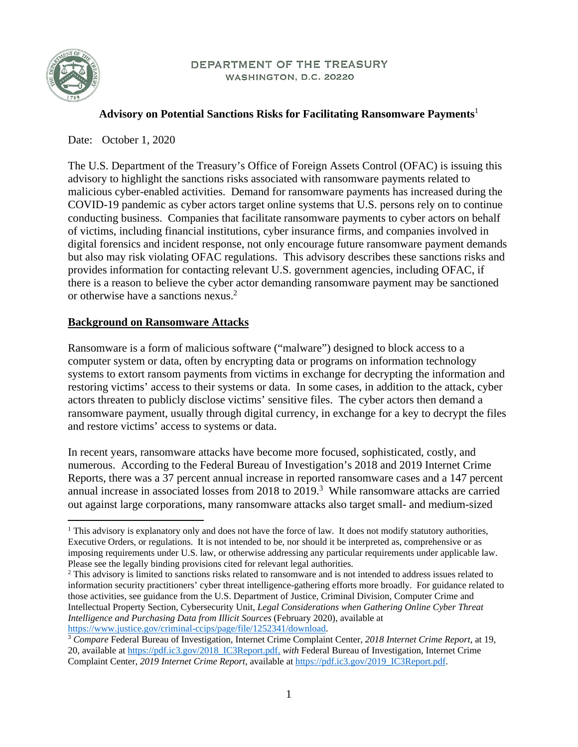

#### DEPARTMENT OF THE TREASURY WASHINGTON, D.C. 20220

#### **Advisory on Potential Sanctions Risks for Facilitating Ransomware Payments**<sup>1</sup>

Date: October 1, 2020

The U.S. Department of the Treasury's Office of Foreign Assets Control (OFAC) is issuing this advisory to highlight the sanctions risks associated with ransomware payments related to malicious cyber-enabled activities. Demand for ransomware payments has increased during the COVID-19 pandemic as cyber actors target online systems that U.S. persons rely on to continue conducting business. Companies that facilitate ransomware payments to cyber actors on behalf of victims, including financial institutions, cyber insurance firms, and companies involved in digital forensics and incident response, not only encourage future ransomware payment demands but also may risk violating OFAC regulations. This advisory describes these sanctions risks and provides information for contacting relevant U.S. government agencies, including OFAC, if there is a reason to believe the cyber actor demanding ransomware payment may be sanctioned or otherwise have a sanctions nexus.2

#### **Background on Ransomware Attacks**

Ransomware is a form of malicious software ("malware") designed to block access to a computer system or data, often by encrypting data or programs on information technology systems to extort ransom payments from victims in exchange for decrypting the information and restoring victims' access to their systems or data. In some cases, in addition to the attack, cyber actors threaten to publicly disclose victims' sensitive files. The cyber actors then demand a ransomware payment, usually through digital currency, in exchange for a key to decrypt the files and restore victims' access to systems or data.

In recent years, ransomware attacks have become more focused, sophisticated, costly, and numerous. According to the Federal Bureau of Investigation's 2018 and 2019 Internet Crime Reports, there was a 37 percent annual increase in reported ransomware cases and a 147 percent annual increase in associated losses from  $2018$  to  $2019$ .<sup>3</sup> While ransomware attacks are carried out against large corporations, many ransomware attacks also target small- and medium-sized

<sup>&</sup>lt;sup>1</sup> This advisory is explanatory only and does not have the force of law. It does not modify statutory authorities, Executive Orders, or regulations. It is not intended to be, nor should it be interpreted as, comprehensive or as imposing requirements under U.S. law, or otherwise addressing any particular requirements under applicable law. Please see the legally binding provisions cited for relevant legal authorities.

<sup>&</sup>lt;sup>2</sup> This advisory is limited to sanctions risks related to ransomware and is not intended to address issues related to information security practitioners' cyber threat intelligence-gathering efforts more broadly. For guidance related to those activities, see guidance from the U.S. Department of Justice, Criminal Division, Computer Crime and Intellectual Property Section, Cybersecurity Unit, *Legal Considerations when Gathering Online Cyber Threat Intelligence and Purchasing Data from Illicit Sources* (February 2020), available at

https://www.justice.gov/criminal-ccips/page/file/1252341/download. 3 *Compare* Federal Bureau of Investigation, Internet Crime Complaint Center, *2018 Internet Crime Report*, at 19, 20, available at https://pdf.ic3.gov/2018\_IC3Report.pdf, *with* Federal Bureau of Investigation, Internet Crime Complaint Center, *2019 Internet Crime Report*, available at https://pdf.ic3.gov/2019\_IC3Report.pdf.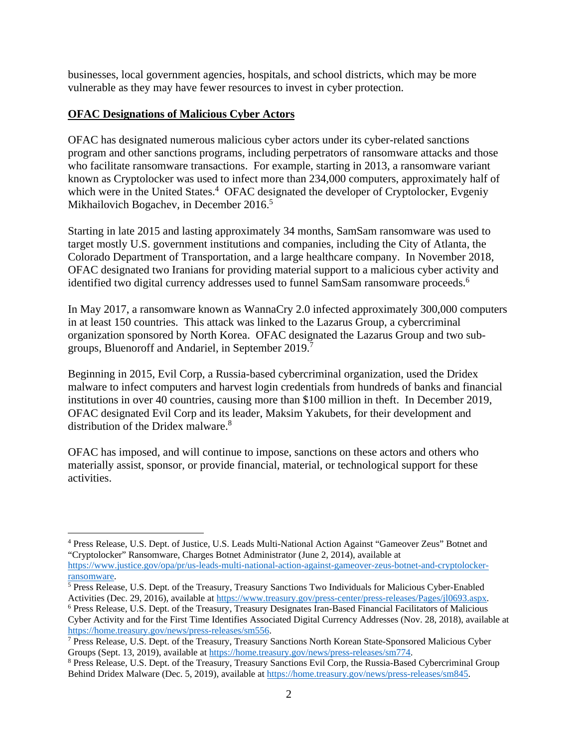businesses, local government agencies, hospitals, and school districts, which may be more vulnerable as they may have fewer resources to invest in cyber protection.

#### **OFAC Designations of Malicious Cyber Actors**

OFAC has designated numerous malicious cyber actors under its cyber-related sanctions program and other sanctions programs, including perpetrators of ransomware attacks and those who facilitate ransomware transactions. For example, starting in 2013, a ransomware variant known as Cryptolocker was used to infect more than 234,000 computers, approximately half of which were in the United States.<sup>4</sup> OFAC designated the developer of Cryptolocker, Evgeniy Mikhailovich Bogachev, in December 2016.<sup>5</sup>

Starting in late 2015 and lasting approximately 34 months, SamSam ransomware was used to target mostly U.S. government institutions and companies, including the City of Atlanta, the Colorado Department of Transportation, and a large healthcare company. In November 2018, OFAC designated two Iranians for providing material support to a malicious cyber activity and identified two digital currency addresses used to funnel SamSam ransomware proceeds.<sup>6</sup>

In May 2017, a ransomware known as WannaCry 2.0 infected approximately 300,000 computers in at least 150 countries. This attack was linked to the Lazarus Group, a cybercriminal organization sponsored by North Korea. OFAC designated the Lazarus Group and two subgroups, Bluenoroff and Andariel, in September 2019.<sup>7</sup>

Beginning in 2015, Evil Corp, a Russia-based cybercriminal organization, used the Dridex malware to infect computers and harvest login credentials from hundreds of banks and financial institutions in over 40 countries, causing more than \$100 million in theft. In December 2019, OFAC designated Evil Corp and its leader, Maksim Yakubets, for their development and distribution of the Dridex malware.<sup>8</sup>

OFAC has imposed, and will continue to impose, sanctions on these actors and others who materially assist, sponsor, or provide financial, material, or technological support for these activities.

<sup>4</sup> Press Release, U.S. Dept. of Justice, U.S. Leads Multi-National Action Against "Gameover Zeus" Botnet and "Cryptolocker" Ransomware, Charges Botnet Administrator (June 2, 2014), available at

https://www.justice.gov/opa/pr/us-leads-multi-national-action-against-gameover-zeus-botnet-and-cryptolockerransomware.

 $\frac{1}{5}$  Press Release, U.S. Dept. of the Treasury, Treasury Sanctions Two Individuals for Malicious Cyber-Enabled Activities (Dec. 29, 2016), available at https://www.treasury.gov/press-center/press-releases/Pages/jl0693.aspx.

Press Release, U.S. Dept. of the Treasury, Treasury Designates Iran-Based Financial Facilitators of Malicious Cyber Activity and for the First Time Identifies Associated Digital Currency Addresses (Nov. 28, 2018), available at https://home.treasury.gov/news/press-releases/sm556. 7

<sup>&</sup>lt;sup>7</sup> Press Release, U.S. Dept. of the Treasury, Treasury Sanctions North Korean State-Sponsored Malicious Cyber Groups (Sept. 13, 2019), available at https://home.treasury.gov/news/press-releases/sm774.

<sup>&</sup>lt;sup>8</sup> Press Release, U.S. Dept. of the Treasury, Treasury Sanctions Evil Corp, the Russia-Based Cybercriminal Group Behind Dridex Malware (Dec. 5, 2019), available at https://home.treasury.gov/news/press-releases/sm845.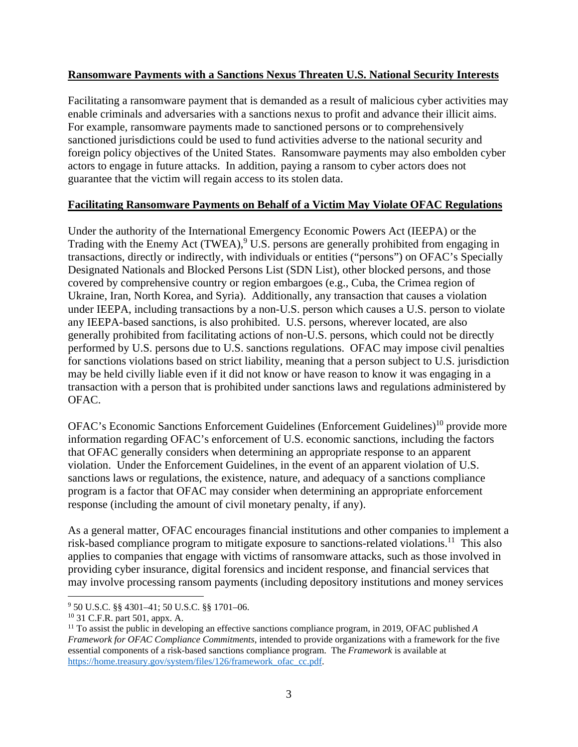### **Ransomware Payments with a Sanctions Nexus Threaten U.S. National Security Interests**

Facilitating a ransomware payment that is demanded as a result of malicious cyber activities may enable criminals and adversaries with a sanctions nexus to profit and advance their illicit aims. For example, ransomware payments made to sanctioned persons or to comprehensively sanctioned jurisdictions could be used to fund activities adverse to the national security and foreign policy objectives of the United States. Ransomware payments may also embolden cyber actors to engage in future attacks. In addition, paying a ransom to cyber actors does not guarantee that the victim will regain access to its stolen data.

# **Facilitating Ransomware Payments on Behalf of a Victim May Violate OFAC Regulations**

Under the authority of the International Emergency Economic Powers Act (IEEPA) or the Trading with the Enemy Act  $(TWEA)$ ,  $9$  U.S. persons are generally prohibited from engaging in transactions, directly or indirectly, with individuals or entities ("persons") on OFAC's Specially Designated Nationals and Blocked Persons List (SDN List), other blocked persons, and those covered by comprehensive country or region embargoes (e.g., Cuba, the Crimea region of Ukraine, Iran, North Korea, and Syria). Additionally, any transaction that causes a violation under IEEPA, including transactions by a non-U.S. person which causes a U.S. person to violate any IEEPA-based sanctions, is also prohibited. U.S. persons, wherever located, are also generally prohibited from facilitating actions of non-U.S. persons, which could not be directly performed by U.S. persons due to U.S. sanctions regulations. OFAC may impose civil penalties for sanctions violations based on strict liability, meaning that a person subject to U.S. jurisdiction may be held civilly liable even if it did not know or have reason to know it was engaging in a transaction with a person that is prohibited under sanctions laws and regulations administered by OFAC.

OFAC's Economic Sanctions Enforcement Guidelines (Enforcement Guidelines)<sup>10</sup> provide more information regarding OFAC's enforcement of U.S. economic sanctions, including the factors that OFAC generally considers when determining an appropriate response to an apparent violation. Under the Enforcement Guidelines, in the event of an apparent violation of U.S. sanctions laws or regulations, the existence, nature, and adequacy of a sanctions compliance program is a factor that OFAC may consider when determining an appropriate enforcement response (including the amount of civil monetary penalty, if any).

As a general matter, OFAC encourages financial institutions and other companies to implement a risk-based compliance program to mitigate exposure to sanctions-related violations.<sup>11</sup> This also applies to companies that engage with victims of ransomware attacks, such as those involved in providing cyber insurance, digital forensics and incident response, and financial services that may involve processing ransom payments (including depository institutions and money services

<sup>9</sup> 50 U.S.C. §§ 4301–41; 50 U.S.C. §§ 1701–06.

<sup>10 31</sup> C.F.R. part 501, appx. A.

<sup>11</sup> To assist the public in developing an effective sanctions compliance program, in 2019, OFAC published *A Framework for OFAC Compliance Commitments*, intended to provide organizations with a framework for the five essential components of a risk-based sanctions compliance program. The *Framework* is available at https://home.treasury.gov/system/files/126/framework\_ofac\_cc.pdf.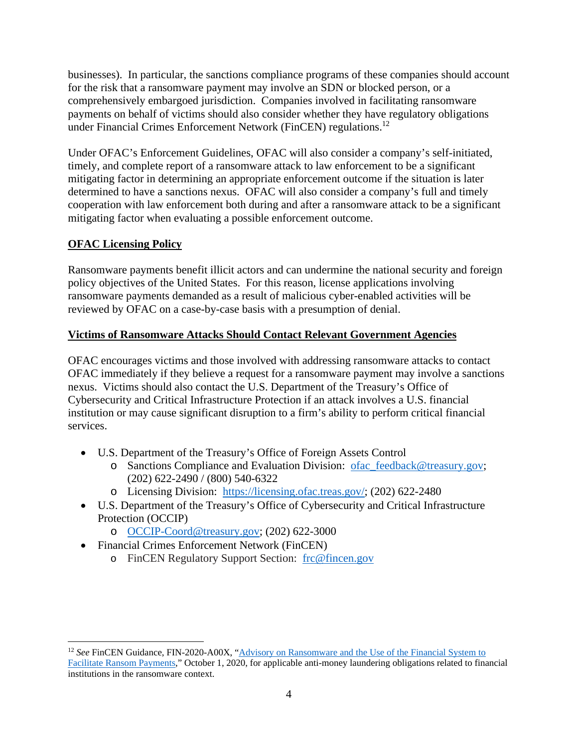businesses). In particular, the sanctions compliance programs of these companies should account for the risk that a ransomware payment may involve an SDN or blocked person, or a comprehensively embargoed jurisdiction. Companies involved in facilitating ransomware payments on behalf of victims should also consider whether they have regulatory obligations under Financial Crimes Enforcement Network (FinCEN) regulations.12

Under OFAC's Enforcement Guidelines, OFAC will also consider a company's self-initiated, timely, and complete report of a ransomware attack to law enforcement to be a significant mitigating factor in determining an appropriate enforcement outcome if the situation is later determined to have a sanctions nexus. OFAC will also consider a company's full and timely cooperation with law enforcement both during and after a ransomware attack to be a significant mitigating factor when evaluating a possible enforcement outcome.

# **OFAC Licensing Policy**

Ransomware payments benefit illicit actors and can undermine the national security and foreign policy objectives of the United States. For this reason, license applications involving ransomware payments demanded as a result of malicious cyber-enabled activities will be reviewed by OFAC on a case-by-case basis with a presumption of denial.

# **Victims of Ransomware Attacks Should Contact Relevant Government Agencies**

OFAC encourages victims and those involved with addressing ransomware attacks to contact OFAC immediately if they believe a request for a ransomware payment may involve a sanctions nexus. Victims should also contact the U.S. Department of the Treasury's Office of Cybersecurity and Critical Infrastructure Protection if an attack involves a U.S. financial institution or may cause significant disruption to a firm's ability to perform critical financial services.

- U.S. Department of the Treasury's Office of Foreign Assets Control
	- o Sanctions Compliance and Evaluation Division: ofac\_feedback@treasury.gov; (202) 622-2490 / (800) 540-6322
	- o Licensing Division: https://licensing.ofac.treas.gov/; (202) 622-2480
- U.S. Department of the Treasury's Office of Cybersecurity and Critical Infrastructure Protection (OCCIP)
	- o OCCIP-Coord@treasury.gov; (202) 622-3000
- Financial Crimes Enforcement Network (FinCEN)
	- o FinCEN Regulatory Support Section: frc@fincen.gov

<sup>12</sup> *See* FinCEN Guidance, FIN-2020-A00X, "Advisory on Ransomware and the Use of the Financial System to Facilitate Ransom Payments," October 1, 2020, for applicable anti-money laundering obligations related to financial institutions in the ransomware context.